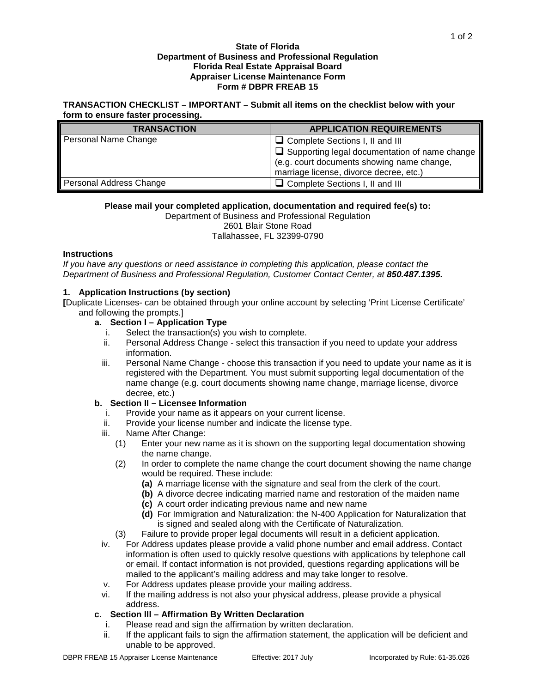#### **State of Florida Department of Business and Professional Regulation Florida Real Estate Appraisal Board Appraiser License Maintenance Form Form # DBPR FREAB 15**

### **TRANSACTION CHECKLIST – IMPORTANT – Submit all items on the checklist below with your form to ensure faster processing.**

| <b>TRANSACTION</b>      | <b>APPLICATION REQUIREMENTS</b>                                                                                                               |
|-------------------------|-----------------------------------------------------------------------------------------------------------------------------------------------|
| Personal Name Change    | $\Box$ Complete Sections I, II and III                                                                                                        |
|                         | $\Box$ Supporting legal documentation of name change<br>(e.g. court documents showing name change,<br>marriage license, divorce decree, etc.) |
| Personal Address Change | $\Box$ Complete Sections I, II and III                                                                                                        |

## **Please mail your completed application, documentation and required fee(s) to:**

Department of Business and Professional Regulation 2601 Blair Stone Road

Tallahassee, FL 32399-0790

## **Instructions**

*If you have any questions or need assistance in completing this application, please contact the Department of Business and Professional Regulation, Customer Contact Center, at 850.487.1395.*

# **1. Application Instructions (by section)**

**[**Duplicate Licenses- can be obtained through your online account by selecting 'Print License Certificate' and following the prompts.]

# **a. Section I – Application Type**

- i. Select the transaction(s) you wish to complete.
- ii. Personal Address Change select this transaction if you need to update your address information.
- iii. Personal Name Change choose this transaction if you need to update your name as it is registered with the Department. You must submit supporting legal documentation of the name change (e.g. court documents showing name change, marriage license, divorce decree, etc.)

# **b. Section II – Licensee Information**

- i. Provide your name as it appears on your current license.
- ii. Provide your license number and indicate the license type.
- iii. Name After Change:<br>(1) Enter your new n
	- Enter your new name as it is shown on the supporting legal documentation showing the name change.
	- (2) In order to complete the name change the court document showing the name change would be required. These include:
		- **(a)** A marriage license with the signature and seal from the clerk of the court.
		- **(b)** A divorce decree indicating married name and restoration of the maiden name
		- **(c)** A court order indicating previous name and new name
		- **(d)** For Immigration and Naturalization: the N-400 Application for Naturalization that is signed and sealed along with the Certificate of Naturalization.
	- (3) Failure to provide proper legal documents will result in a deficient application.
- iv. For Address updates please provide a valid phone number and email address. Contact information is often used to quickly resolve questions with applications by telephone call or email. If contact information is not provided, questions regarding applications will be mailed to the applicant's mailing address and may take longer to resolve.
- v. For Address updates please provide your mailing address.
- vi. If the mailing address is not also your physical address, please provide a physical address.

# **c. Section III – Affirmation By Written Declaration**

- i. Please read and sign the affirmation by written declaration.
- ii. If the applicant fails to sign the affirmation statement, the application will be deficient and unable to be approved.